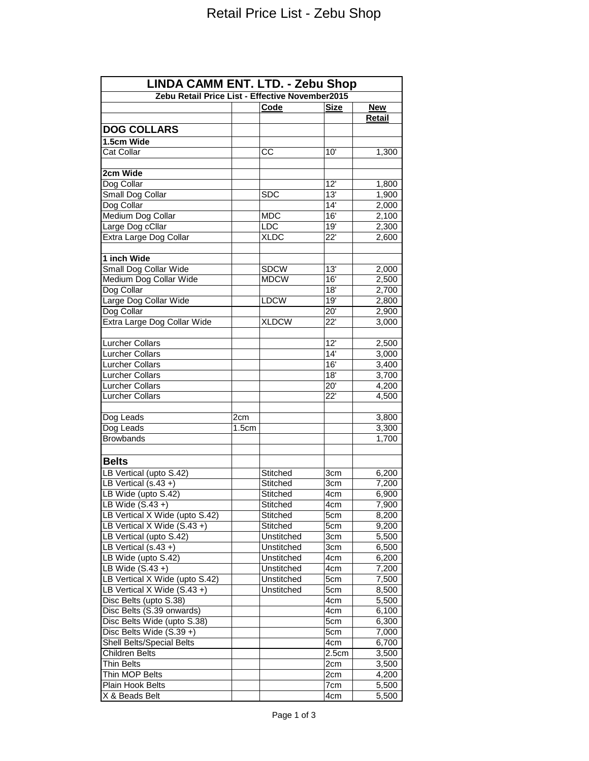| LINDA CAMM ENT. LTD. - Zebu Shop                |       |                          |                  |                |  |  |
|-------------------------------------------------|-------|--------------------------|------------------|----------------|--|--|
| Zebu Retail Price List - Effective November2015 |       |                          |                  |                |  |  |
|                                                 |       | Code                     | <b>Size</b>      | New            |  |  |
|                                                 |       |                          |                  | <b>Retail</b>  |  |  |
| <b>DOG COLLARS</b>                              |       |                          |                  |                |  |  |
| 1.5cm Wide                                      |       |                          |                  |                |  |  |
| Cat Collar                                      |       | CC                       | 10'              | 1,300          |  |  |
| 2cm Wide                                        |       |                          |                  |                |  |  |
| Dog Collar                                      |       |                          | 12'              | 1,800          |  |  |
| Small Dog Collar                                |       | <b>SDC</b>               | 13'              | 1,900          |  |  |
| Dog Collar                                      |       |                          | 14'              | 2,000          |  |  |
| Medium Dog Collar                               |       | MDC                      | 16'              | 2,100          |  |  |
| Large Dog cCllar                                |       | LDC                      | 19'              | 2,300          |  |  |
| Extra Large Dog Collar                          |       | <b>XLDC</b>              | 22'              | 2,600          |  |  |
|                                                 |       |                          |                  |                |  |  |
| 1 inch Wide                                     |       |                          |                  |                |  |  |
| Small Dog Collar Wide                           |       | <b>SDCW</b>              | 13'              | 2,000          |  |  |
| Medium Dog Collar Wide                          |       | <b>MDCW</b>              | 16'              | 2,500          |  |  |
| Dog Collar                                      |       |                          | 18'              | 2,700          |  |  |
| Large Dog Collar Wide                           |       | <b>LDCW</b>              | 19'              | 2,800          |  |  |
| Dog Collar                                      |       |                          | $\overline{20'}$ | 2,900          |  |  |
| Extra Large Dog Collar Wide                     |       | <b>XLDCW</b>             | 22'              | 3,000          |  |  |
| <b>Lurcher Collars</b>                          |       |                          | 12'              | 2,500          |  |  |
| Lurcher Collars                                 |       |                          | 14'              | 3,000          |  |  |
| <b>Lurcher Collars</b>                          |       |                          | 16'              | 3,400          |  |  |
| <b>Lurcher Collars</b>                          |       |                          | 18'              | 3,700          |  |  |
| <b>Lurcher Collars</b>                          |       |                          | $\overline{20}$  | 4,200          |  |  |
| <b>Lurcher Collars</b>                          |       |                          | 22'              | 4,500          |  |  |
|                                                 |       |                          |                  |                |  |  |
| Dog Leads                                       | 2cm   |                          |                  | 3,800          |  |  |
| Dog Leads                                       | 1.5cm |                          |                  | 3,300          |  |  |
| <b>Browbands</b>                                |       |                          |                  | 1,700          |  |  |
| <b>Belts</b>                                    |       |                          |                  |                |  |  |
| LB Vertical (upto S.42)                         |       |                          | 3cm              |                |  |  |
| LB Vertical $(s.43 +)$                          |       | Stitched                 | 3cm              | 6,200<br>7,200 |  |  |
| LB Wide (upto S.42)                             |       | Stitched<br>Stitched     | 4cm              | 6,900          |  |  |
| LB Wide $(S.43 +)$                              |       | Stitched                 | 4cm              | 7,900          |  |  |
| LB Vertical X Wide (upto S.42)                  |       |                          | 5cm              |                |  |  |
| LB Vertical X Wide (S.43+)                      |       | Stitched                 |                  | 8,200          |  |  |
| LB Vertical (upto S.42)                         |       | Stitched                 | 5cm              | 9,200          |  |  |
| LB Vertical $(s.43 +)$                          |       | Unstitched               | 3cm<br>3cm       | 5,500          |  |  |
| LB Wide (upto S.42)                             |       | Unstitched<br>Unstitched |                  | 6,500<br>6,200 |  |  |
| LB Wide $(S.43 +)$                              |       |                          | 4cm              |                |  |  |
|                                                 |       | Unstitched               | 4cm              | 7,200          |  |  |
| LB Vertical X Wide (upto S.42)                  |       | Unstitched               | 5cm              | 7,500          |  |  |
| LB Vertical X Wide (S.43+)                      |       | Unstitched               | 5cm              | 8,500          |  |  |
| Disc Belts (upto S.38)                          |       |                          | 4cm              | 5,500          |  |  |
| Disc Belts (S.39 onwards)                       |       |                          | 4cm              | 6,100          |  |  |
| Disc Belts Wide (upto S.38)                     |       |                          | 5cm              | 6,300          |  |  |
| Disc Belts Wide (S.39+)                         |       |                          | 5cm              | 7,000          |  |  |
| <b>Shell Belts/Special Belts</b>                |       |                          | 4cm              | 6,700          |  |  |
| Children Belts                                  |       |                          | 2.5cm            | 3,500          |  |  |
| <b>Thin Belts</b>                               |       |                          | 2cm              | 3,500          |  |  |
| Thin MOP Belts                                  |       |                          | 2cm              | 4,200          |  |  |
| Plain Hook Belts                                |       |                          | 7cm              | 5,500          |  |  |
| X & Beads Belt                                  |       |                          | 4cm              | 5,500          |  |  |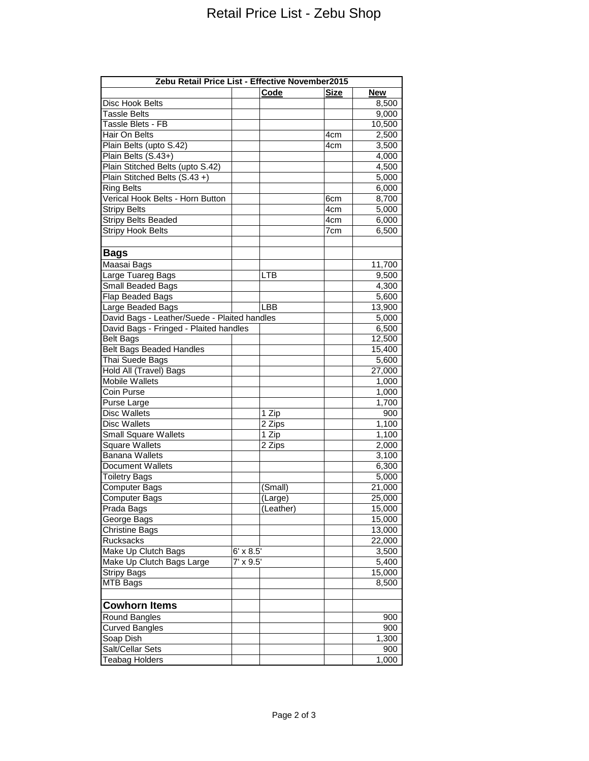| Zebu Retail Price List - Effective November2015 |                  |            |                 |            |  |  |
|-------------------------------------------------|------------------|------------|-----------------|------------|--|--|
|                                                 |                  | Code       | <b>Size</b>     | <b>New</b> |  |  |
| Disc Hook Belts                                 |                  |            |                 | 8,500      |  |  |
| <b>Tassle Belts</b>                             |                  |            |                 | 9,000      |  |  |
| Tassle Blets - FB                               |                  |            |                 | 10,500     |  |  |
| Hair On Belts                                   |                  |            | 4cm             | 2,500      |  |  |
| Plain Belts (upto S.42)                         |                  |            | 4cm             | 3,500      |  |  |
| Plain Belts (S.43+)                             |                  |            |                 | 4,000      |  |  |
| Plain Stitched Belts (upto S.42)                |                  |            |                 | 4,500      |  |  |
| Plain Stitched Belts (S.43+)                    |                  |            |                 | 5,000      |  |  |
| <b>Ring Belts</b>                               |                  |            |                 | 6,000      |  |  |
| Verical Hook Belts - Horn Button                |                  |            | 6cm             | 8,700      |  |  |
| <b>Stripy Belts</b>                             |                  |            | 4cm             | 5,000      |  |  |
| <b>Stripy Belts Beaded</b>                      |                  |            | 4 <sub>cm</sub> | 6,000      |  |  |
| <b>Stripy Hook Belts</b>                        |                  |            | 7cm             | 6,500      |  |  |
|                                                 |                  |            |                 |            |  |  |
| <b>Bags</b>                                     |                  |            |                 |            |  |  |
| Maasai Bags                                     |                  |            |                 | 11,700     |  |  |
| Large Tuareg Bags                               |                  | <b>LTB</b> |                 | 9,500      |  |  |
| Small Beaded Bags                               |                  |            |                 | 4,300      |  |  |
| Flap Beaded Bags                                |                  |            |                 | 5,600      |  |  |
| Large Beaded Bags                               |                  | LBB        |                 | 13,900     |  |  |
| David Bags - Leather/Suede - Plaited handles    |                  |            |                 | 5,000      |  |  |
| David Bags - Fringed - Plaited handles          |                  |            |                 | 6,500      |  |  |
| <b>Belt Bags</b>                                |                  |            |                 | 12,500     |  |  |
| <b>Belt Bags Beaded Handles</b>                 |                  |            |                 | 15,400     |  |  |
| Thai Suede Bags                                 |                  |            |                 | 5,600      |  |  |
| Hold All (Travel) Bags                          |                  |            |                 | 27,000     |  |  |
| <b>Mobile Wallets</b>                           |                  |            |                 | 1,000      |  |  |
| Coin Purse                                      |                  |            |                 | 1,000      |  |  |
| Purse Large                                     |                  |            |                 | 1,700      |  |  |
| <b>Disc Wallets</b>                             |                  | 1 Zip      |                 | 900        |  |  |
| <b>Disc Wallets</b>                             |                  | 2 Zips     |                 | 1,100      |  |  |
| <b>Small Square Wallets</b>                     |                  | 1 Zip      |                 | 1,100      |  |  |
| <b>Square Wallets</b>                           |                  | 2 Zips     |                 | 2,000      |  |  |
| <b>Banana Wallets</b>                           |                  |            |                 | 3,100      |  |  |
| Document Wallets                                |                  |            |                 |            |  |  |
|                                                 |                  |            |                 | 6,300      |  |  |
| <b>Toiletry Bags</b>                            |                  |            |                 | 5,000      |  |  |
| Computer Bags                                   |                  | (Small)    |                 | 21,000     |  |  |
| Computer Bags                                   |                  | (Large)    |                 | 25,000     |  |  |
| Prada Bags                                      |                  | (Leather)  |                 | 15,000     |  |  |
| George Bags                                     |                  |            |                 | 15,000     |  |  |
| Christine Bags                                  |                  |            |                 | 13,000     |  |  |
| Rucksacks                                       |                  |            |                 | 22,000     |  |  |
| Make Up Clutch Bags                             | $6' \times 8.5'$ |            |                 | 3,500      |  |  |
| Make Up Clutch Bags Large                       | $7' \times 9.5'$ |            |                 | 5,400      |  |  |
| <b>Stripy Bags</b>                              |                  |            |                 | 15,000     |  |  |
| MTB Bags                                        |                  |            |                 | 8,500      |  |  |
| <b>Cowhorn Items</b>                            |                  |            |                 |            |  |  |
| Round Bangles                                   |                  |            |                 | 900        |  |  |
| <b>Curved Bangles</b>                           |                  |            |                 | 900        |  |  |
| Soap Dish                                       |                  |            |                 | 1,300      |  |  |
| Salt/Cellar Sets                                |                  |            |                 | 900        |  |  |
| <b>Teabag Holders</b>                           |                  |            |                 | 1,000      |  |  |
|                                                 |                  |            |                 |            |  |  |